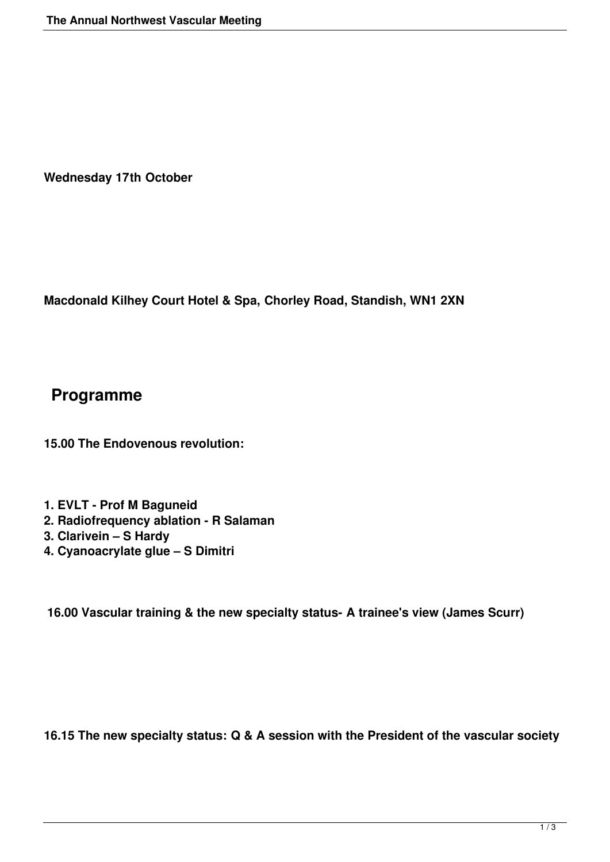**Wednesday 17th October**

**Macdonald Kilhey Court Hotel & Spa, Chorley Road, Standish, WN1 2XN**

## **Programme**

**15.00 The Endovenous revolution:**

- **1. EVLT Prof M Baguneid**
- **2. Radiofrequency ablation R Salaman**
- **3. Clarivein S Hardy**
- **4. Cyanoacrylate glue S Dimitri**

**16.00 Vascular training & the new specialty status- A trainee's view (James Scurr)**

**16.15 The new specialty status: Q & A session with the President of the vascular society**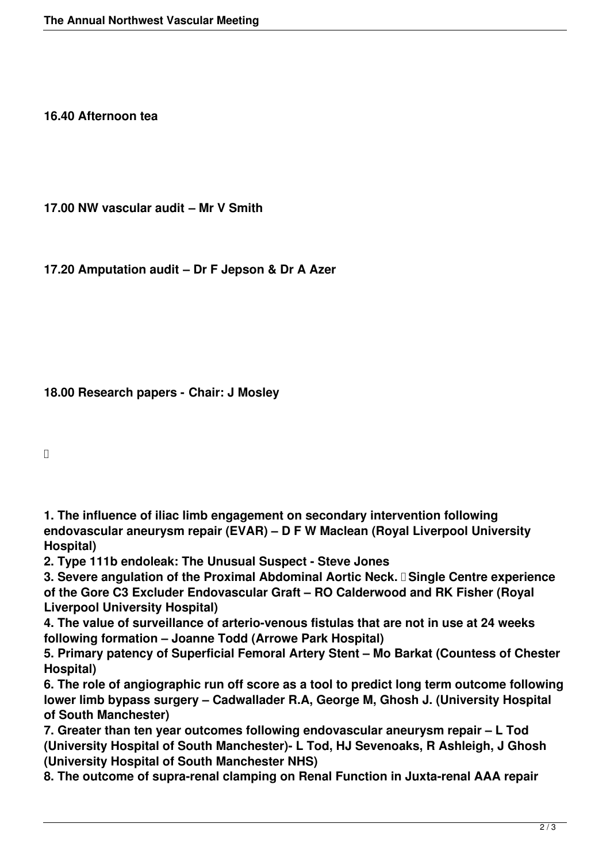**16.40 Afternoon tea**

**17.00 NW vascular audit – Mr V Smith**

**17.20 Amputation audit – Dr F Jepson & Dr A Azer**

**18.00 Research papers - Chair: J Mosley**

 $\Box$ 

**1. The influence of iliac limb engagement on secondary intervention following endovascular aneurysm repair (EVAR) – D F W Maclean (Royal Liverpool University Hospital)** 

**2. Type 111b endoleak: The Unusual Suspect - Steve Jones**

**3. Severe angulation of the Proximal Abdominal Aortic Neck. I Single Centre experience of the Gore C3 Excluder Endovascular Graft – RO Calderwood and RK Fisher (Royal Liverpool University Hospital)**

**4. The value of surveillance of arterio-venous fistulas that are not in use at 24 weeks following formation – Joanne Todd (Arrowe Park Hospital)**

**5. Primary patency of Superficial Femoral Artery Stent – Mo Barkat (Countess of Chester Hospital)**

**6. The role of angiographic run off score as a tool to predict long term outcome following lower limb bypass surgery – Cadwallader R.A, George M, Ghosh J. (University Hospital of South Manchester)**

**7. Greater than ten year outcomes following endovascular aneurysm repair – L Tod (University Hospital of South Manchester)- L Tod, HJ Sevenoaks, R Ashleigh, J Ghosh (University Hospital of South Manchester NHS)**

**8. The outcome of supra-renal clamping on Renal Function in Juxta-renal AAA repair**